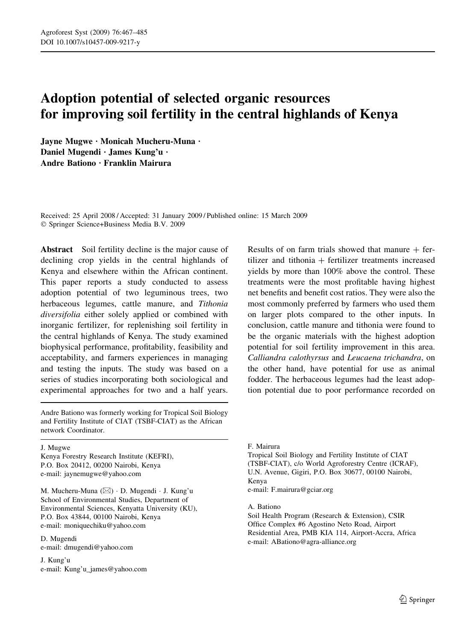# Adoption potential of selected organic resources for improving soil fertility in the central highlands of Kenya

Jayne Mugwe · Monicah Mucheru-Muna · Daniel Mugendi · James Kung'u · Andre Bationo · Franklin Mairura

Received: 25 April 2008 / Accepted: 31 January 2009 / Published online: 15 March 2009 Springer Science+Business Media B.V. 2009

Abstract Soil fertility decline is the major cause of declining crop yields in the central highlands of Kenya and elsewhere within the African continent. This paper reports a study conducted to assess adoption potential of two leguminous trees, two herbaceous legumes, cattle manure, and Tithonia diversifolia either solely applied or combined with inorganic fertilizer, for replenishing soil fertility in the central highlands of Kenya. The study examined biophysical performance, profitability, feasibility and acceptability, and farmers experiences in managing and testing the inputs. The study was based on a series of studies incorporating both sociological and experimental approaches for two and a half years.

Andre Bationo was formerly working for Tropical Soil Biology and Fertility Institute of CIAT (TSBF-CIAT) as the African network Coordinator.

#### J. Mugwe

Kenya Forestry Research Institute (KEFRI), P.O. Box 20412, 00200 Nairobi, Kenya e-mail: jaynemugwe@yahoo.com

M. Mucheru-Muna  $(\boxtimes) \cdot$  D. Mugendi  $\cdot$  J. Kung'u School of Environmental Studies, Department of Environmental Sciences, Kenyatta University (KU), P.O. Box 43844, 00100 Nairobi, Kenya e-mail: moniquechiku@yahoo.com

D. Mugendi e-mail: dmugendi@yahoo.com

J. Kung'u e-mail: Kung'u\_james@yahoo.com Results of on farm trials showed that manure  $+$  fertilizer and tithonia  $+$  fertilizer treatments increased yields by more than 100% above the control. These treatments were the most profitable having highest net benefits and benefit cost ratios. They were also the most commonly preferred by farmers who used them on larger plots compared to the other inputs. In conclusion, cattle manure and tithonia were found to be the organic materials with the highest adoption potential for soil fertility improvement in this area. Calliandra calothyrsus and Leucaena trichandra, on the other hand, have potential for use as animal fodder. The herbaceous legumes had the least adoption potential due to poor performance recorded on

F. Mairura

Tropical Soil Biology and Fertility Institute of CIAT (TSBF-CIAT), c/o World Agroforestry Centre (ICRAF), U.N. Avenue, Gigiri, P.O. Box 30677, 00100 Nairobi, Kenya e-mail: F.mairura@gciar.org

A. Bationo

Soil Health Program (Research & Extension), CSIR Office Complex #6 Agostino Neto Road, Airport Residential Area, PMB KIA 114, Airport-Accra, Africa e-mail: ABationo@agra-alliance.org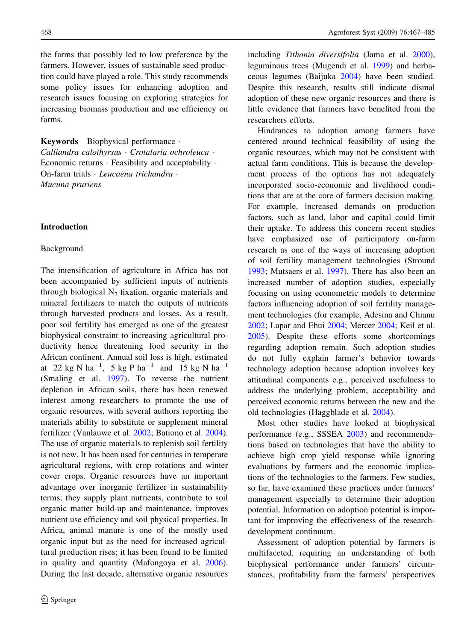the farms that possibly led to low preference by the farmers. However, issues of sustainable seed production could have played a role. This study recommends some policy issues for enhancing adoption and research issues focusing on exploring strategies for increasing biomass production and use efficiency on farms.

Keywords Biophysical performance  $\cdot$ Calliandra calothyrsus · Crotalaria ochroleuca · Economic returns  $\cdot$  Feasibility and acceptability  $\cdot$ On-farm trials · Leucaena trichandra · Mucuna pruriens

# Introduction

#### Background

The intensification of agriculture in Africa has not been accompanied by sufficient inputs of nutrients through biological  $N_2$  fixation, organic materials and mineral fertilizers to match the outputs of nutrients through harvested products and losses. As a result, poor soil fertility has emerged as one of the greatest biophysical constraint to increasing agricultural productivity hence threatening food security in the African continent. Annual soil loss is high, estimated at 22 kg N ha<sup>-1</sup>, 5 kg P ha<sup>-1</sup> and 15 kg N ha<sup>-1</sup> (Smaling et al. [1997\)](#page-18-0). To reverse the nutrient depletion in African soils, there has been renewed interest among researchers to promote the use of organic resources, with several authors reporting the materials ability to substitute or supplement mineral fertilizer (Vanlauwe et al. [2002;](#page-18-0) Bationo et al. [2004](#page-17-0)). The use of organic materials to replenish soil fertility is not new. It has been used for centuries in temperate agricultural regions, with crop rotations and winter cover crops. Organic resources have an important advantage over inorganic fertilizer in sustainability terms; they supply plant nutrients, contribute to soil organic matter build-up and maintenance, improves nutrient use efficiency and soil physical properties. In Africa, animal manure is one of the mostly used organic input but as the need for increased agricultural production rises; it has been found to be limited in quality and quantity (Mafongoya et al. [2006](#page-17-0)). During the last decade, alternative organic resources

including Tithonia diversifolia (Jama et al. [2000](#page-17-0)), leguminous trees (Mugendi et al. [1999](#page-17-0)) and herbaceous legumes (Baijuka [2004\)](#page-17-0) have been studied. Despite this research, results still indicate dismal adoption of these new organic resources and there is little evidence that farmers have benefited from the researchers efforts.

Hindrances to adoption among farmers have centered around technical feasibility of using the organic resources, which may not be consistent with actual farm conditions. This is because the development process of the options has not adequately incorporated socio-economic and livelihood conditions that are at the core of farmers decision making. For example, increased demands on production factors, such as land, labor and capital could limit their uptake. To address this concern recent studies have emphasized use of participatory on-farm research as one of the ways of increasing adoption of soil fertility management technologies (Stround [1993;](#page-18-0) Mutsaers et al. [1997](#page-18-0)). There has also been an increased number of adoption studies, especially focusing on using econometric models to determine factors influencing adoption of soil fertility management technologies (for example, Adesina and Chianu [2002;](#page-17-0) Lapar and Ehui [2004](#page-17-0); Mercer [2004](#page-17-0); Keil et al. [2005\)](#page-17-0). Despite these efforts some shortcomings regarding adoption remain. Such adoption studies do not fully explain farmer's behavior towards technology adoption because adoption involves key attitudinal components e.g., perceived usefulness to address the underlying problem, acceptability and perceived economic returns between the new and the old technologies (Haggblade et al. [2004\)](#page-17-0).

Most other studies have looked at biophysical performance (e.g., SSSEA [2003\)](#page-18-0) and recommendations based on technologies that have the ability to achieve high crop yield response while ignoring evaluations by farmers and the economic implications of the technologies to the farmers. Few studies, so far, have examined these practices under farmers' management especially to determine their adoption potential. Information on adoption potential is important for improving the effectiveness of the researchdevelopment continuum.

Assessment of adoption potential by farmers is multifaceted, requiring an understanding of both biophysical performance under farmers' circumstances, profitability from the farmers' perspectives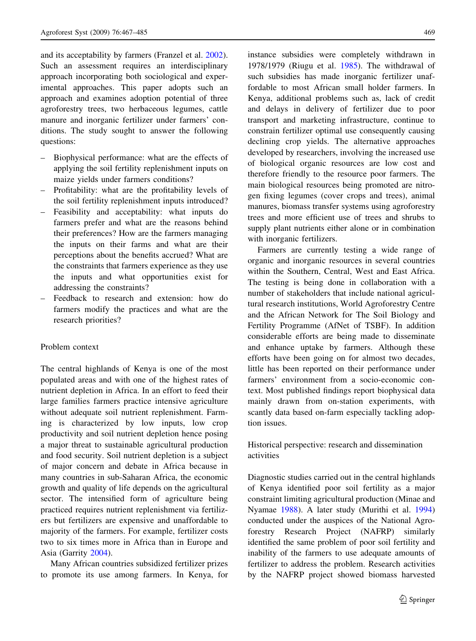and its acceptability by farmers (Franzel et al. [2002](#page-17-0)). Such an assessment requires an interdisciplinary approach incorporating both sociological and experimental approaches. This paper adopts such an approach and examines adoption potential of three agroforestry trees, two herbaceous legumes, cattle manure and inorganic fertilizer under farmers' conditions. The study sought to answer the following questions:

- Biophysical performance: what are the effects of applying the soil fertility replenishment inputs on maize yields under farmers conditions?
- Profitability: what are the profitability levels of the soil fertility replenishment inputs introduced?
- Feasibility and acceptability: what inputs do farmers prefer and what are the reasons behind their preferences? How are the farmers managing the inputs on their farms and what are their perceptions about the benefits accrued? What are the constraints that farmers experience as they use the inputs and what opportunities exist for addressing the constraints?
- Feedback to research and extension: how do farmers modify the practices and what are the research priorities?

# Problem context

The central highlands of Kenya is one of the most populated areas and with one of the highest rates of nutrient depletion in Africa. In an effort to feed their large families farmers practice intensive agriculture without adequate soil nutrient replenishment. Farming is characterized by low inputs, low crop productivity and soil nutrient depletion hence posing a major threat to sustainable agricultural production and food security. Soil nutrient depletion is a subject of major concern and debate in Africa because in many countries in sub-Saharan Africa, the economic growth and quality of life depends on the agricultural sector. The intensified form of agriculture being practiced requires nutrient replenishment via fertilizers but fertilizers are expensive and unaffordable to majority of the farmers. For example, fertilizer costs two to six times more in Africa than in Europe and Asia (Garrity [2004\)](#page-17-0).

Many African countries subsidized fertilizer prizes to promote its use among farmers. In Kenya, for instance subsidies were completely withdrawn in 1978/1979 (Riugu et al. [1985](#page-18-0)). The withdrawal of such subsidies has made inorganic fertilizer unaffordable to most African small holder farmers. In Kenya, additional problems such as, lack of credit and delays in delivery of fertilizer due to poor transport and marketing infrastructure, continue to constrain fertilizer optimal use consequently causing declining crop yields. The alternative approaches developed by researchers, involving the increased use of biological organic resources are low cost and therefore friendly to the resource poor farmers. The main biological resources being promoted are nitrogen fixing legumes (cover crops and trees), animal manures, biomass transfer systems using agroforestry trees and more efficient use of trees and shrubs to supply plant nutrients either alone or in combination with inorganic fertilizers.

Farmers are currently testing a wide range of organic and inorganic resources in several countries within the Southern, Central, West and East Africa. The testing is being done in collaboration with a number of stakeholders that include national agricultural research institutions, World Agroforestry Centre and the African Network for The Soil Biology and Fertility Programme (AfNet of TSBF). In addition considerable efforts are being made to disseminate and enhance uptake by farmers. Although these efforts have been going on for almost two decades, little has been reported on their performance under farmers' environment from a socio-economic context. Most published findings report biophysical data mainly drawn from on-station experiments, with scantly data based on-farm especially tackling adoption issues.

Historical perspective: research and dissemination activities

Diagnostic studies carried out in the central highlands of Kenya identified poor soil fertility as a major constraint limiting agricultural production (Minae and Nyamae [1988\)](#page-17-0). A later study (Murithi et al. [1994\)](#page-18-0) conducted under the auspices of the National Agroforestry Research Project (NAFRP) similarly identified the same problem of poor soil fertility and inability of the farmers to use adequate amounts of fertilizer to address the problem. Research activities by the NAFRP project showed biomass harvested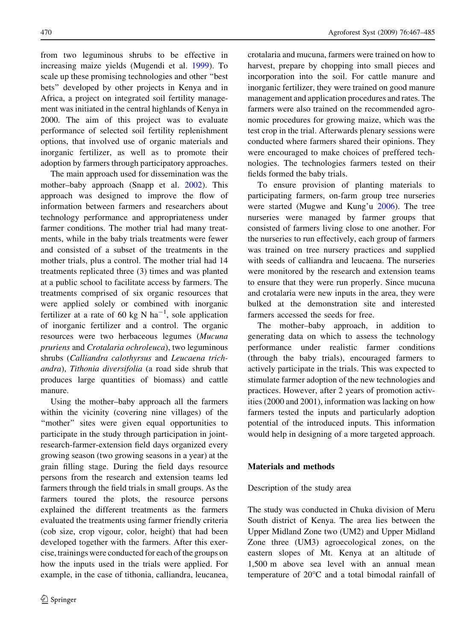from two leguminous shrubs to be effective in increasing maize yields (Mugendi et al. [1999\)](#page-17-0). To scale up these promising technologies and other ''best bets'' developed by other projects in Kenya and in Africa, a project on integrated soil fertility management was initiated in the central highlands of Kenya in 2000. The aim of this project was to evaluate performance of selected soil fertility replenishment options, that involved use of organic materials and inorganic fertilizer, as well as to promote their adoption by farmers through participatory approaches.

The main approach used for dissemination was the mother–baby approach (Snapp et al. [2002](#page-18-0)). This approach was designed to improve the flow of information between farmers and researchers about technology performance and appropriateness under farmer conditions. The mother trial had many treatments, while in the baby trials treatments were fewer and consisted of a subset of the treatments in the mother trials, plus a control. The mother trial had 14 treatments replicated three (3) times and was planted at a public school to facilitate access by farmers. The treatments comprised of six organic resources that were applied solely or combined with inorganic fertilizer at a rate of 60 kg N  $ha^{-1}$ , sole application of inorganic fertilizer and a control. The organic resources were two herbaceous legumes (Mucuna pruriens and Crotalaria ochroleuca), two leguminous shrubs (Calliandra calothyrsus and Leucaena trichandra), Tithonia diversifolia (a road side shrub that produces large quantities of biomass) and cattle manure.

Using the mother–baby approach all the farmers within the vicinity (covering nine villages) of the "mother" sites were given equal opportunities to participate in the study through participation in jointresearch-farmer-extension field days organized every growing season (two growing seasons in a year) at the grain filling stage. During the field days resource persons from the research and extension teams led farmers through the field trials in small groups. As the farmers toured the plots, the resource persons explained the different treatments as the farmers evaluated the treatments using farmer friendly criteria (cob size, crop vigour, color, height) that had been developed together with the farmers. After this exercise, trainings were conducted for each of the groups on how the inputs used in the trials were applied. For example, in the case of tithonia, calliandra, leucanea, crotalaria and mucuna, farmers were trained on how to harvest, prepare by chopping into small pieces and incorporation into the soil. For cattle manure and inorganic fertilizer, they were trained on good manure management and application procedures and rates. The farmers were also trained on the recommended agronomic procedures for growing maize, which was the test crop in the trial. Afterwards plenary sessions were conducted where farmers shared their opinions. They were encouraged to make choices of preffered technologies. The technologies farmers tested on their fields formed the baby trials.

To ensure provision of planting materials to participating farmers, on-farm group tree nurseries were started (Mugwe and Kung'u [2006](#page-18-0)). The tree nurseries were managed by farmer groups that consisted of farmers living close to one another. For the nurseries to run effectively, each group of farmers was trained on tree nursery practices and supplied with seeds of calliandra and leucaena. The nurseries were monitored by the research and extension teams to ensure that they were run properly. Since mucuna and crotalaria were new inputs in the area, they were bulked at the demonstration site and interested farmers accessed the seeds for free.

The mother–baby approach, in addition to generating data on which to assess the technology performance under realistic farmer conditions (through the baby trials), encouraged farmers to actively participate in the trials. This was expected to stimulate farmer adoption of the new technologies and practices. However, after 2 years of promotion activities (2000 and 2001), information was lacking on how farmers tested the inputs and particularly adoption potential of the introduced inputs. This information would help in designing of a more targeted approach.

# Materials and methods

# Description of the study area

The study was conducted in Chuka division of Meru South district of Kenya. The area lies between the Upper Midland Zone two (UM2) and Upper Midland Zone three (UM3) agroecological zones, on the eastern slopes of Mt. Kenya at an altitude of 1,500 m above sea level with an annual mean temperature of  $20^{\circ}$ C and a total bimodal rainfall of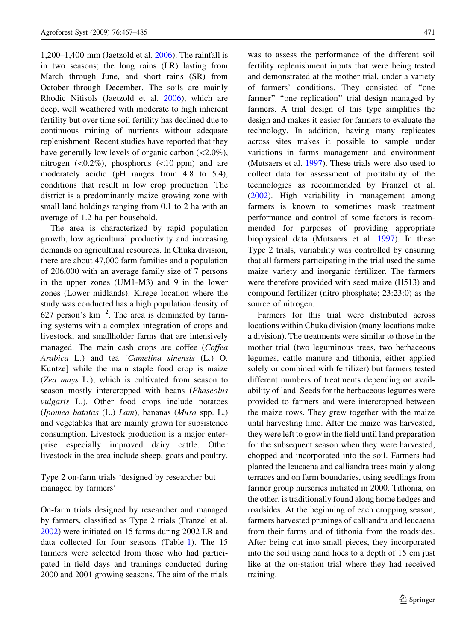1,200–1,400 mm (Jaetzold et al. [2006](#page-17-0)). The rainfall is in two seasons; the long rains (LR) lasting from March through June, and short rains (SR) from October through December. The soils are mainly Rhodic Nitisols (Jaetzold et al. [2006](#page-17-0)), which are deep, well weathered with moderate to high inherent fertility but over time soil fertility has declined due to continuous mining of nutrients without adequate replenishment. Recent studies have reported that they have generally low levels of organic carbon  $(\leq 2.0\%)$ , nitrogen  $(<0.2\%)$ , phosphorus  $(<10$  ppm) and are moderately acidic (pH ranges from 4.8 to 5.4), conditions that result in low crop production. The district is a predominantly maize growing zone with small land holdings ranging from 0.1 to 2 ha with an average of 1.2 ha per household.

The area is characterized by rapid population growth, low agricultural productivity and increasing demands on agricultural resources. In Chuka division, there are about 47,000 farm families and a population of 206,000 with an average family size of 7 persons in the upper zones (UM1-M3) and 9 in the lower zones (Lower midlands). Kirege location where the study was conducted has a high population density of 627 person's  $km^{-2}$ . The area is dominated by farming systems with a complex integration of crops and livestock, and smallholder farms that are intensively managed. The main cash crops are coffee (Coffea Arabica L.) and tea [Camelina sinensis (L.) O. Kuntze] while the main staple food crop is maize (Zea mays L.), which is cultivated from season to season mostly intercropped with beans (Phaseolus vulgaris L.). Other food crops include potatoes (Ipomea batatas (L.) Lam), bananas (Musa spp. L.) and vegetables that are mainly grown for subsistence consumption. Livestock production is a major enterprise especially improved dairy cattle. Other livestock in the area include sheep, goats and poultry.

Type 2 on-farm trials 'designed by researcher but managed by farmers'

On-farm trials designed by researcher and managed by farmers, classified as Type 2 trials (Franzel et al. [2002\)](#page-17-0) were initiated on 15 farms during 2002 LR and data collected for four seasons (Table [1](#page-5-0)). The 15 farmers were selected from those who had participated in field days and trainings conducted during 2000 and 2001 growing seasons. The aim of the trials

was to assess the performance of the different soil fertility replenishment inputs that were being tested and demonstrated at the mother trial, under a variety of farmers' conditions. They consisted of ''one farmer" "one replication" trial design managed by farmers. A trial design of this type simplifies the design and makes it easier for farmers to evaluate the technology. In addition, having many replicates across sites makes it possible to sample under variations in farms management and environment (Mutsaers et al. [1997\)](#page-18-0). These trials were also used to collect data for assessment of profitability of the technologies as recommended by Franzel et al. [\(2002](#page-17-0)). High variability in management among farmers is known to sometimes mask treatment performance and control of some factors is recommended for purposes of providing appropriate biophysical data (Mutsaers et al. [1997\)](#page-18-0). In these Type 2 trials, variability was controlled by ensuring that all farmers participating in the trial used the same maize variety and inorganic fertilizer. The farmers were therefore provided with seed maize (H513) and compound fertilizer (nitro phosphate; 23:23:0) as the source of nitrogen.

Farmers for this trial were distributed across locations within Chuka division (many locations make a division). The treatments were similar to those in the mother trial (two leguminous trees, two herbaceous legumes, cattle manure and tithonia, either applied solely or combined with fertilizer) but farmers tested different numbers of treatments depending on availability of land. Seeds for the herbaceous legumes were provided to farmers and were intercropped between the maize rows. They grew together with the maize until harvesting time. After the maize was harvested, they were left to grow in the field until land preparation for the subsequent season when they were harvested, chopped and incorporated into the soil. Farmers had planted the leucaena and calliandra trees mainly along terraces and on farm boundaries, using seedlings from farmer group nurseries initiated in 2000. Tithonia, on the other, is traditionally found along home hedges and roadsides. At the beginning of each cropping season, farmers harvested prunings of calliandra and leucaena from their farms and of tithonia from the roadsides. After being cut into small pieces, they incorporated into the soil using hand hoes to a depth of 15 cm just like at the on-station trial where they had received training.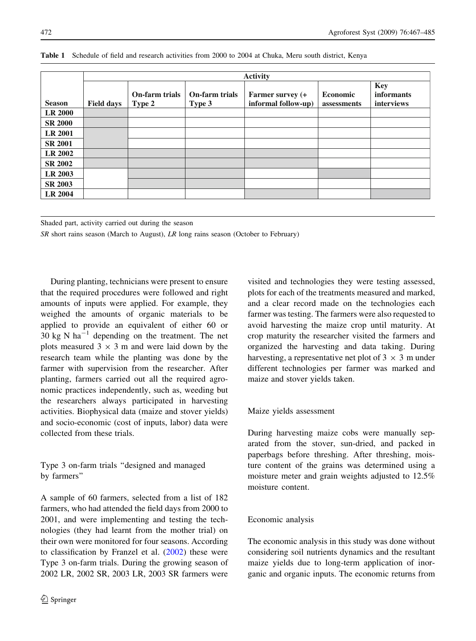|                | <b>Activity</b>   |                          |                          |                                         |                                |                                               |  |
|----------------|-------------------|--------------------------|--------------------------|-----------------------------------------|--------------------------------|-----------------------------------------------|--|
| <b>Season</b>  | <b>Field days</b> | On-farm trials<br>Type 2 | On-farm trials<br>Type 3 | Farmer survey (+<br>informal follow-up) | <b>Economic</b><br>assessments | <b>Key</b><br><i>informants</i><br>interviews |  |
| <b>LR 2000</b> |                   |                          |                          |                                         |                                |                                               |  |
| <b>SR 2000</b> |                   |                          |                          |                                         |                                |                                               |  |
| <b>LR 2001</b> |                   |                          |                          |                                         |                                |                                               |  |
| <b>SR 2001</b> |                   |                          |                          |                                         |                                |                                               |  |
| LR 2002        |                   |                          |                          |                                         |                                |                                               |  |
| <b>SR 2002</b> |                   |                          |                          |                                         |                                |                                               |  |
| LR 2003        |                   |                          |                          |                                         |                                |                                               |  |
| <b>SR 2003</b> |                   |                          |                          |                                         |                                |                                               |  |
| <b>LR 2004</b> |                   |                          |                          |                                         |                                |                                               |  |

<span id="page-5-0"></span>Table 1 Schedule of field and research activities from 2000 to 2004 at Chuka, Meru south district, Kenya

Shaded part, activity carried out during the season

SR short rains season (March to August), LR long rains season (October to February)

During planting, technicians were present to ensure that the required procedures were followed and right amounts of inputs were applied. For example, they weighed the amounts of organic materials to be applied to provide an equivalent of either 60 or 30 kg N ha<sup>-1</sup> depending on the treatment. The net plots measured  $3 \times 3$  m and were laid down by the research team while the planting was done by the farmer with supervision from the researcher. After planting, farmers carried out all the required agronomic practices independently, such as, weeding but the researchers always participated in harvesting activities. Biophysical data (maize and stover yields) and socio-economic (cost of inputs, labor) data were collected from these trials.

Type 3 on-farm trials ''designed and managed by farmers''

A sample of 60 farmers, selected from a list of 182 farmers, who had attended the field days from 2000 to 2001, and were implementing and testing the technologies (they had learnt from the mother trial) on their own were monitored for four seasons. According to classification by Franzel et al. ([2002\)](#page-17-0) these were Type 3 on-farm trials. During the growing season of 2002 LR, 2002 SR, 2003 LR, 2003 SR farmers were

visited and technologies they were testing assessed, plots for each of the treatments measured and marked, and a clear record made on the technologies each farmer was testing. The farmers were also requested to avoid harvesting the maize crop until maturity. At crop maturity the researcher visited the farmers and organized the harvesting and data taking. During harvesting, a representative net plot of  $3 \times 3$  m under different technologies per farmer was marked and maize and stover yields taken.

# Maize yields assessment

During harvesting maize cobs were manually separated from the stover, sun-dried, and packed in paperbags before threshing. After threshing, moisture content of the grains was determined using a moisture meter and grain weights adjusted to 12.5% moisture content.

# Economic analysis

The economic analysis in this study was done without considering soil nutrients dynamics and the resultant maize yields due to long-term application of inorganic and organic inputs. The economic returns from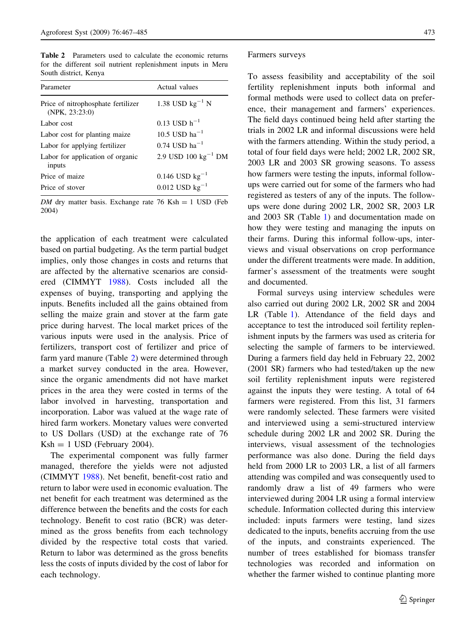Table 2 Parameters used to calculate the economic returns for the different soil nutrient replenishment inputs in Meru South district, Kenya

| Parameter                                            | Actual values               |
|------------------------------------------------------|-----------------------------|
| Price of nitrophosphate fertilizer<br>(NPK, 23:23:0) | 1.38 USD $kg^{-1}$ N        |
| Labor cost                                           | $0.13$ USD $h^{-1}$         |
| Labor cost for planting maize                        | 10.5 USD $ha^{-1}$          |
| Labor for applying fertilizer                        | $0.74$ USD ha <sup>-1</sup> |
| Labor for application of organic<br>inputs           | 2.9 USD 100 $kg^{-1}$ DM    |
| Price of maize                                       | $0.146$ USD $kg^{-1}$       |
| Price of stover                                      | $0.012$ USD $kg^{-1}$       |

 $DM$  dry matter basis. Exchange rate 76 Ksh = 1 USD (Feb 2004)

the application of each treatment were calculated based on partial budgeting. As the term partial budget implies, only those changes in costs and returns that are affected by the alternative scenarios are considered (CIMMYT [1988\)](#page-17-0). Costs included all the expenses of buying, transporting and applying the inputs. Benefits included all the gains obtained from selling the maize grain and stover at the farm gate price during harvest. The local market prices of the various inputs were used in the analysis. Price of fertilizers, transport cost of fertilizer and price of farm yard manure (Table 2) were determined through a market survey conducted in the area. However, since the organic amendments did not have market prices in the area they were costed in terms of the labor involved in harvesting, transportation and incorporation. Labor was valued at the wage rate of hired farm workers. Monetary values were converted to US Dollars (USD) at the exchange rate of 76  $Ksh = 1$  USD (February 2004).

The experimental component was fully farmer managed, therefore the yields were not adjusted (CIMMYT [1988\)](#page-17-0). Net benefit, benefit-cost ratio and return to labor were used in economic evaluation. The net benefit for each treatment was determined as the difference between the benefits and the costs for each technology. Benefit to cost ratio (BCR) was determined as the gross benefits from each technology divided by the respective total costs that varied. Return to labor was determined as the gross benefits less the costs of inputs divided by the cost of labor for each technology.

#### Farmers surveys

To assess feasibility and acceptability of the soil fertility replenishment inputs both informal and formal methods were used to collect data on preference, their management and farmers' experiences. The field days continued being held after starting the trials in 2002 LR and informal discussions were held with the farmers attending. Within the study period, a total of four field days were held; 2002 LR, 2002 SR, 2003 LR and 2003 SR growing seasons. To assess how farmers were testing the inputs, informal followups were carried out for some of the farmers who had registered as testers of any of the inputs. The followups were done during 2002 LR, 2002 SR, 2003 LR and 2003 SR (Table [1\)](#page-5-0) and documentation made on how they were testing and managing the inputs on their farms. During this informal follow-ups, interviews and visual observations on crop performance under the different treatments were made. In addition, farmer's assessment of the treatments were sought and documented.

Formal surveys using interview schedules were also carried out during 2002 LR, 2002 SR and 2004 LR (Table [1\)](#page-5-0). Attendance of the field days and acceptance to test the introduced soil fertility replenishment inputs by the farmers was used as criteria for selecting the sample of farmers to be interviewed. During a farmers field day held in February 22, 2002 (2001 SR) farmers who had tested/taken up the new soil fertility replenishment inputs were registered against the inputs they were testing. A total of 64 farmers were registered. From this list, 31 farmers were randomly selected. These farmers were visited and interviewed using a semi-structured interview schedule during 2002 LR and 2002 SR. During the interviews, visual assessment of the technologies performance was also done. During the field days held from 2000 LR to 2003 LR, a list of all farmers attending was compiled and was consequently used to randomly draw a list of 49 farmers who were interviewed during 2004 LR using a formal interview schedule. Information collected during this interview included: inputs farmers were testing, land sizes dedicated to the inputs, benefits accruing from the use of the inputs, and constraints experienced. The number of trees established for biomass transfer technologies was recorded and information on whether the farmer wished to continue planting more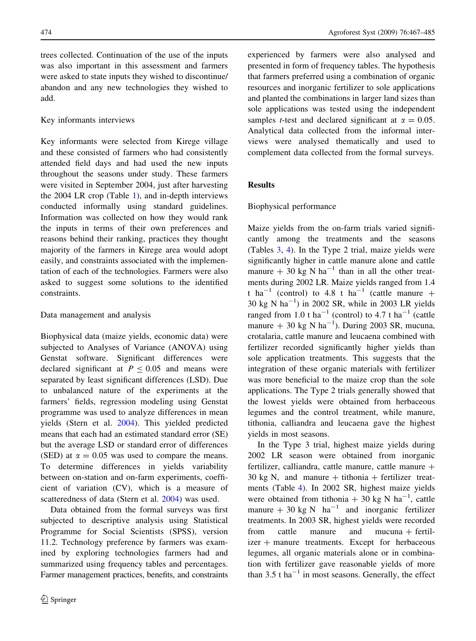trees collected. Continuation of the use of the inputs was also important in this assessment and farmers were asked to state inputs they wished to discontinue/ abandon and any new technologies they wished to add.

# Key informants interviews

Key informants were selected from Kirege village and these consisted of farmers who had consistently attended field days and had used the new inputs throughout the seasons under study. These farmers were visited in September 2004, just after harvesting the 2004 LR crop (Table [1](#page-5-0)), and in-depth interviews conducted informally using standard guidelines. Information was collected on how they would rank the inputs in terms of their own preferences and reasons behind their ranking, practices they thought majority of the farmers in Kirege area would adopt easily, and constraints associated with the implementation of each of the technologies. Farmers were also asked to suggest some solutions to the identified constraints.

# Data management and analysis

Biophysical data (maize yields, economic data) were subjected to Analyses of Variance (ANOVA) using Genstat software. Significant differences were declared significant at  $P < 0.05$  and means were separated by least significant differences (LSD). Due to unbalanced nature of the experiments at the farmers' fields, regression modeling using Genstat programme was used to analyze differences in mean yields (Stern et al. [2004\)](#page-18-0). This yielded predicted means that each had an estimated standard error (SE) but the average LSD or standard error of differences (SED) at  $\alpha = 0.05$  was used to compare the means. To determine differences in yields variability between on-station and on-farm experiments, coefficient of variation (CV), which is a measure of scatteredness of data (Stern et al. [2004](#page-18-0)) was used.

Data obtained from the formal surveys was first subjected to descriptive analysis using Statistical Programme for Social Scientists (SPSS), version 11.2. Technology preference by farmers was examined by exploring technologies farmers had and summarized using frequency tables and percentages. Farmer management practices, benefits, and constraints experienced by farmers were also analysed and presented in form of frequency tables. The hypothesis that farmers preferred using a combination of organic resources and inorganic fertilizer to sole applications and planted the combinations in larger land sizes than sole applications was tested using the independent samples *t*-test and declared significant at  $\alpha = 0.05$ . Analytical data collected from the informal interviews were analysed thematically and used to complement data collected from the formal surveys.

# Results

# Biophysical performance

Maize yields from the on-farm trials varied significantly among the treatments and the seasons (Tables [3](#page-8-0), [4](#page-9-0)). In the Type 2 trial, maize yields were significantly higher in cattle manure alone and cattle manure  $+30$  kg N ha<sup>-1</sup> than in all the other treatments during 2002 LR. Maize yields ranged from 1.4 t ha<sup>-1</sup> (control) to 4.8 t ha<sup>-1</sup> (cattle manure +  $30 \text{ kg N} \text{ ha}^{-1}$ ) in 2002 SR, while in 2003 LR yields ranged from 1.0 t ha<sup>-1</sup> (control) to 4.7 t ha<sup>-1</sup> (cattle manure  $+30$  kg N ha<sup>-1</sup>). During 2003 SR, mucuna, crotalaria, cattle manure and leucaena combined with fertilizer recorded significantly higher yields than sole application treatments. This suggests that the integration of these organic materials with fertilizer was more beneficial to the maize crop than the sole applications. The Type 2 trials generally showed that the lowest yields were obtained from herbaceous legumes and the control treatment, while manure, tithonia, calliandra and leucaena gave the highest yields in most seasons.

In the Type 3 trial, highest maize yields during 2002 LR season were obtained from inorganic fertilizer, calliandra, cattle manure, cattle manure  $+$ 30 kg N, and manure  $+$  tithonia  $+$  fertilizer treatments (Table [4\)](#page-9-0). In 2002 SR, highest maize yields were obtained from tithonia + 30 kg N ha<sup>-1</sup>, cattle manure  $+30 \text{ kg N}$  ha<sup>-1</sup> and inorganic fertilizer treatments. In 2003 SR, highest yields were recorded from cattle manure and mucuna  $+$  fertil $izer + manure$  treatments. Except for herbaceous legumes, all organic materials alone or in combination with fertilizer gave reasonable yields of more than  $3.5$  t ha<sup>-1</sup> in most seasons. Generally, the effect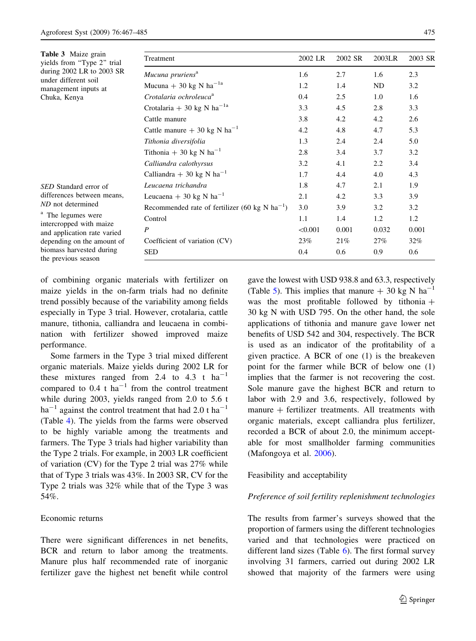<span id="page-8-0"></span>

| <b>Table 3</b> Maize grain<br>yields from "Type 2" trial | Treatment                                           | 2002 LR | 2002 SR | 2003LR | 2003 SR |
|----------------------------------------------------------|-----------------------------------------------------|---------|---------|--------|---------|
| during 2002 LR to 2003 SR                                | Mucuna pruriens <sup>a</sup>                        | 1.6     | 2.7     | 1.6    | 2.3     |
| under different soil<br>management inputs at             | Mucuna + 30 kg N ha <sup><math>-1a</math></sup>     | 1.2     | 1.4     | ND     | 3.2     |
| Chuka, Kenya                                             | Crotalaria ochroleuca <sup>a</sup>                  | 0.4     | 2.5     | 1.0    | 1.6     |
|                                                          | Crotalaria + 30 kg N ha <sup>-1a</sup>              | 3.3     | 4.5     | 2.8    | 3.3     |
|                                                          | Cattle manure                                       | 3.8     | 4.2     | 4.2    | 2.6     |
|                                                          | Cattle manure $+30$ kg N ha <sup>-1</sup>           | 4.2     | 4.8     | 4.7    | 5.3     |
|                                                          | Tithonia diversifolia                               | 1.3     | 2.4     | 2.4    | 5.0     |
|                                                          | Tithonia + 30 kg N ha <sup>-1</sup>                 | 2.8     | 3.4     | 3.7    | 3.2     |
|                                                          | Calliandra calothyrsus                              | 3.2     | 4.1     | 2.2    | 3.4     |
|                                                          | Calliandra + 30 kg N ha <sup>-1</sup>               | 1.7     | 4.4     | 4.0    | 4.3     |
| SED Standard error of                                    | Leucaena trichandra                                 | 1.8     | 4.7     | 2.1    | 1.9     |
| differences between means,                               | Leucaena + 30 kg N ha <sup>-1</sup>                 | 2.1     | 4.2     | 3.3    | 3.9     |
| ND not determined                                        | Recommended rate of fertilizer (60 kg N $ha^{-1}$ ) | 3.0     | 3.9     | 3.2    | 3.2     |
| <sup>a</sup> The legumes were                            | Control                                             | 1.1     | 1.4     | 1.2    | 1.2     |
| intercropped with maize<br>and application rate varied   | $\boldsymbol{P}$                                    | < 0.001 | 0.001   | 0.032  | 0.001   |
| depending on the amount of                               | Coefficient of variation (CV)                       | 23%     | 21%     | 27%    | $32\%$  |
| biomass harvested during<br>the previous season          | <b>SED</b>                                          | 0.4     | 0.6     | 0.9    | 0.6     |

of combining organic materials with fertilizer on maize yields in the on-farm trials had no definite trend possibly because of the variability among fields especially in Type 3 trial. However, crotalaria, cattle manure, tithonia, calliandra and leucaena in combination with fertilizer showed improved maize performance.

Some farmers in the Type 3 trial mixed different organic materials. Maize yields during 2002 LR for these mixtures ranged from 2.4 to 4.3 t  $ha^{-1}$ compared to  $0.4$  t ha<sup>-1</sup> from the control treatment while during 2003, yields ranged from 2.0 to 5.6 t  $ha^{-1}$  against the control treatment that had 2.0 t ha<sup>-1</sup> (Table [4](#page-9-0)). The yields from the farms were observed to be highly variable among the treatments and farmers. The Type 3 trials had higher variability than the Type 2 trials. For example, in 2003 LR coefficient of variation (CV) for the Type 2 trial was 27% while that of Type 3 trials was 43%. In 2003 SR, CV for the Type 2 trials was 32% while that of the Type 3 was 54%.

# Economic returns

There were significant differences in net benefits, BCR and return to labor among the treatments. Manure plus half recommended rate of inorganic fertilizer gave the highest net benefit while control gave the lowest with USD 938.8 and 63.3, respectively (Table [5\)](#page-9-0). This implies that manure  $+30 \text{ kg N}$  ha<sup>-1</sup> was the most profitable followed by tithonia  $+$ 30 kg N with USD 795. On the other hand, the sole applications of tithonia and manure gave lower net benefits of USD 542 and 304, respectively. The BCR is used as an indicator of the profitability of a given practice. A BCR of one (1) is the breakeven point for the farmer while BCR of below one (1) implies that the farmer is not recovering the cost. Sole manure gave the highest BCR and return to labor with 2.9 and 3.6, respectively, followed by manure  $+$  fertilizer treatments. All treatments with organic materials, except calliandra plus fertilizer, recorded a BCR of about 2.0, the minimum acceptable for most smallholder farming communities (Mafongoya et al. [2006](#page-17-0)).

#### Feasibility and acceptability

#### Preference of soil fertility replenishment technologies

The results from farmer's surveys showed that the proportion of farmers using the different technologies varied and that technologies were practiced on different land sizes (Table [6\)](#page-10-0). The first formal survey involving 31 farmers, carried out during 2002 LR showed that majority of the farmers were using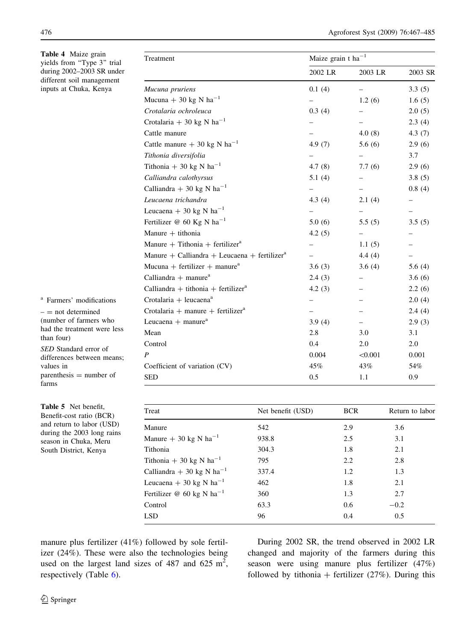| Treatment                                       | Maize grain $t$ ha <sup>-1</sup> |           |                          |                 |
|-------------------------------------------------|----------------------------------|-----------|--------------------------|-----------------|
|                                                 |                                  | 2002 LR   | 2003 LR                  | 2003 SR         |
| Mucuna pruriens                                 |                                  | 0.1(4)    | $\overline{\phantom{0}}$ | 3.3(5)          |
| Mucuna + 30 kg N ha <sup>-1</sup>               |                                  |           | 1.2(6)                   | 1.6(5)          |
| Crotalaria ochroleuca                           |                                  | 0.3(4)    |                          | 2.0(5)          |
| Crotalaria + 30 kg N $\rm{ha}^{-1}$             |                                  |           |                          | 2.3(4)          |
| Cattle manure                                   |                                  |           | 4.0(8)                   | 4.3 (7)         |
| Cattle manure $+30$ kg N ha <sup>-1</sup>       |                                  | 4.9 $(7)$ | 5.6(6)                   | 2.9(6)          |
| Tithonia diversifolia                           |                                  |           |                          | 3.7             |
| Tithonia + 30 kg N ha <sup>-1</sup>             |                                  | 4.7(8)    | 7.7(6)                   | 2.9(6)          |
| Calliandra calothyrsus                          |                                  | 5.1(4)    |                          | 3.8(5)          |
| Calliandra + 30 kg N ha <sup>-1</sup>           |                                  |           |                          | 0.8(4)          |
| Leucaena trichandra                             |                                  | 4.3(4)    | 2.1(4)                   |                 |
| Leucaena + 30 kg N ha <sup>-1</sup>             |                                  |           |                          |                 |
| Fertilizer @ 60 Kg N ha <sup>-1</sup>           |                                  | 5.0(6)    | 5.5(5)                   | 3.5(5)          |
| Manure + tithonia                               | 4.2(5)                           |           |                          |                 |
| Manure + Tithonia + fertilizer $a$              |                                  |           | 1.1(5)                   |                 |
| Manure + Calliandra + Leucaena + fertilizer $a$ |                                  |           | 4.4(4)                   |                 |
| Mucuna + fertilizer + manure <sup>a</sup>       |                                  | 3.6(3)    | 3.6(4)                   | 5.6(4)          |
| Calliandra + manure <sup>a</sup>                |                                  | 2.4(3)    |                          | 3.6(6)          |
| Calliandra + tithonia + fertilizer <sup>a</sup> |                                  | 4.2(3)    |                          | 2.2(6)          |
| Crotalaria + leucaena <sup>a</sup>              |                                  |           |                          | 2.0(4)          |
| Crotalaria + manure + fertilizer $a$            |                                  |           |                          | 2.4(4)          |
| Leucaena + manure <sup>a</sup>                  |                                  | 3.9(4)    |                          | 2.9(3)          |
| Mean                                            |                                  | 2.8       | 3.0                      | 3.1             |
| Control                                         |                                  | 0.4       | 2.0                      | 2.0             |
| P                                               |                                  | 0.004     | < 0.001                  | 0.001           |
| Coefficient of variation (CV)                   |                                  | 45%       | 43%                      | 54%             |
| <b>SED</b>                                      |                                  | 0.5       | 1.1                      | 0.9             |
|                                                 |                                  |           |                          |                 |
| Treat                                           | Net benefit (USD)                |           | <b>BCR</b>               | Return to labor |
| Manure                                          | 542                              |           | 2.9                      | 3.6             |
| Manure $+30$ kg N ha <sup>-1</sup>              | 938.8                            |           | 2.5                      | 3.1             |

<span id="page-9-0"></span>Table 4 Maize grain yields from "Type 3" tria during 2002–2003 SR und different soil managemen inputs at Chuka, Kenya

<sup>a</sup> Farmers' modifications  $-$  = not determined (number of farmers who had the treatment were le than four) SED Standard error of differences between mean values in  $\text{parent}$  hesself  $\text{number}$  of farms

Table 5 Net benefit, Benefit-cost ratio (BCR) and return to labor (USD) during the 2003 long rain season in Chuka, Meru South District, Kenya

Tithonia 304.3 1.8 2.1 Tithonia + 30 kg N ha<sup>-1</sup> 795 2.2 2.8 Calliandra + 30 kg N ha<sup>-1</sup> 337.4 1.2 1.3 Leucaena + 30 kg N ha<sup>-1</sup> 462 1.8 2.1 Fertilizer  $\omega$  60 kg N ha<sup>-1</sup> 360 1.3 2.7 Control 63.3 0.6 -0.2 LSD  $96 \t 0.4 \t 0.5$ 

manure plus fertilizer (41%) followed by sole fertilizer (24%). These were also the technologies being used on the largest land sizes of  $487$  and  $625 \text{ m}^2$ , respectively (Table [6](#page-10-0)).

During 2002 SR, the trend observed in 2002 LR changed and majority of the farmers during this season were using manure plus fertilizer (47%) followed by tithonia  $+$  fertilizer (27%). During this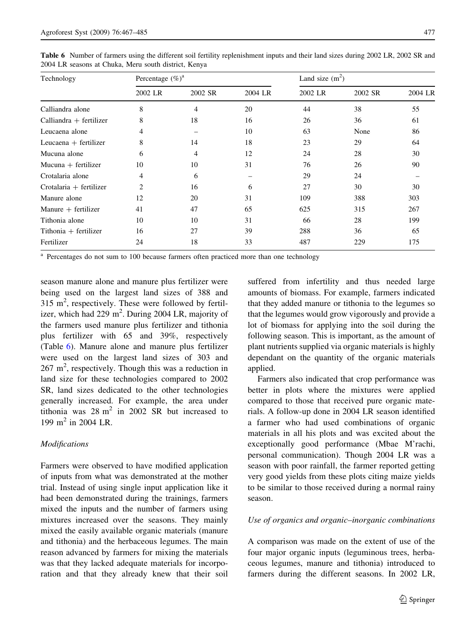| Technology                | Percentage $(\%)^a$ |         |         | Land size $(m^2)$ |         |         |
|---------------------------|---------------------|---------|---------|-------------------|---------|---------|
|                           | 2002 LR             | 2002 SR | 2004 LR | 2002 LR           | 2002 SR | 2004 LR |
| Calliandra alone          | 8                   | 4       | 20      | 44                | 38      | 55      |
| Calliandra $+$ fertilizer | 8                   | 18      | 16      | 26                | 36      | 61      |
| Leucaena alone            | 4                   |         | 10      | 63                | None    | 86      |
| Leucaena $+$ fertilizer   | 8                   | 14      | 18      | 23                | 29      | 64      |
| Mucuna alone              | 6                   | 4       | 12      | 24                | 28      | 30      |
| $Mucuna + fertilizer$     | 10                  | 10      | 31      | 76                | 26      | 90      |
| Crotalaria alone          | 4                   | 6       |         | 29                | 24      |         |
| $Crotalaria + fertilizer$ | $\mathfrak{D}$      | 16      | 6       | 27                | 30      | 30      |
| Manure alone              | 12                  | 20      | 31      | 109               | 388     | 303     |
| Manure $+$ fertilizer     | 41                  | 47      | 65      | 625               | 315     | 267     |
| Tithonia alone            | 10                  | 10      | 31      | 66                | 28      | 199     |
| Tithonia $+$ fertilizer   | 16                  | 27      | 39      | 288               | 36      | 65      |
| Fertilizer                | 24                  | 18      | 33      | 487               | 229     | 175     |

<span id="page-10-0"></span>Table 6 Number of farmers using the different soil fertility replenishment inputs and their land sizes during 2002 LR, 2002 SR and 2004 LR seasons at Chuka, Meru south district, Kenya

Percentages do not sum to 100 because farmers often practiced more than one technology

season manure alone and manure plus fertilizer were being used on the largest land sizes of 388 and  $315 \text{ m}^2$ , respectively. These were followed by fertilizer, which had  $229 \text{ m}^2$ . During 2004 LR, majority of the farmers used manure plus fertilizer and tithonia plus fertilizer with 65 and 39%, respectively (Table 6). Manure alone and manure plus fertilizer were used on the largest land sizes of 303 and  $267 \text{ m}^2$ , respectively. Though this was a reduction in land size for these technologies compared to 2002 SR, land sizes dedicated to the other technologies generally increased. For example, the area under tithonia was  $28 \text{ m}^2$  in  $2002 \text{ SR}$  but increased to 199 m<sup>2</sup> in 2004 LR.

# Modifications

Farmers were observed to have modified application of inputs from what was demonstrated at the mother trial. Instead of using single input application like it had been demonstrated during the trainings, farmers mixed the inputs and the number of farmers using mixtures increased over the seasons. They mainly mixed the easily available organic materials (manure and tithonia) and the herbaceous legumes. The main reason advanced by farmers for mixing the materials was that they lacked adequate materials for incorporation and that they already knew that their soil

suffered from infertility and thus needed large amounts of biomass. For example, farmers indicated that they added manure or tithonia to the legumes so that the legumes would grow vigorously and provide a lot of biomass for applying into the soil during the following season. This is important, as the amount of plant nutrients supplied via organic materials is highly dependant on the quantity of the organic materials applied.

Farmers also indicated that crop performance was better in plots where the mixtures were applied compared to those that received pure organic materials. A follow-up done in 2004 LR season identified a farmer who had used combinations of organic materials in all his plots and was excited about the exceptionally good performance (Mbae M'rachi, personal communication). Though 2004 LR was a season with poor rainfall, the farmer reported getting very good yields from these plots citing maize yields to be similar to those received during a normal rainy season.

# Use of organics and organic–inorganic combinations

A comparison was made on the extent of use of the four major organic inputs (leguminous trees, herbaceous legumes, manure and tithonia) introduced to farmers during the different seasons. In 2002 LR,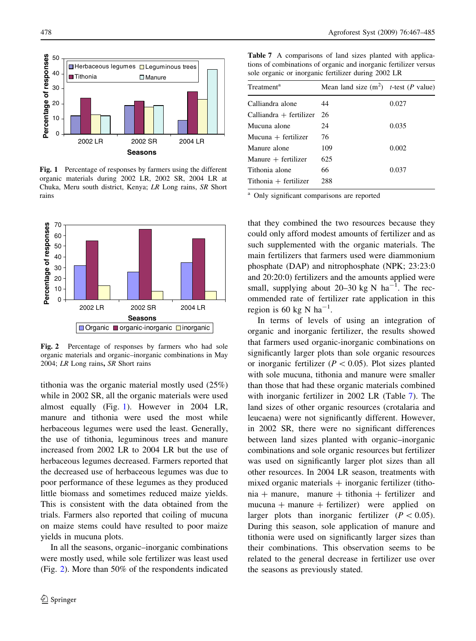

Fig. 1 Percentage of responses by farmers using the different organic materials during 2002 LR, 2002 SR, 2004 LR at Chuka, Meru south district, Kenya; LR Long rains, SR Short rains



Fig. 2 Percentage of responses by farmers who had sole organic materials and organic–inorganic combinations in May 2004; LR Long rains, SR Short rains

tithonia was the organic material mostly used (25%) while in 2002 SR, all the organic materials were used almost equally (Fig. 1). However in 2004 LR, manure and tithonia were used the most while herbaceous legumes were used the least. Generally, the use of tithonia, leguminous trees and manure increased from 2002 LR to 2004 LR but the use of herbaceous legumes decreased. Farmers reported that the decreased use of herbaceous legumes was due to poor performance of these legumes as they produced little biomass and sometimes reduced maize yields. This is consistent with the data obtained from the trials. Farmers also reported that coiling of mucuna on maize stems could have resulted to poor maize yields in mucuna plots.

In all the seasons, organic–inorganic combinations were mostly used, while sole fertilizer was least used (Fig. 2). More than 50% of the respondents indicated

Table 7 A comparisons of land sizes planted with applications of combinations of organic and inorganic fertilizer versus sole organic or inorganic fertilizer during 2002 LR

| Treatment <sup>a</sup>    | Mean land size $(m^2)$ <i>t</i> -test ( <i>P</i> value) |       |
|---------------------------|---------------------------------------------------------|-------|
| Calliandra alone          | 44                                                      | 0.027 |
| $Calliandra + fertilizer$ | 26                                                      |       |
| Mucuna alone              | 24                                                      | 0.035 |
| $Mucuna + fertilizer$     | 76                                                      |       |
| Manure alone              | 109                                                     | 0.002 |
| $M$ anure + fertilizer    | 625                                                     |       |
| Tithonia alone            | 66                                                      | 0.037 |
| Tithonia $+$ fertilizer   | 288                                                     |       |
|                           |                                                         |       |

<sup>a</sup> Only significant comparisons are reported

that they combined the two resources because they could only afford modest amounts of fertilizer and as such supplemented with the organic materials. The main fertilizers that farmers used were diammonium phosphate (DAP) and nitrophosphate (NPK; 23:23:0 and 20:20:0) fertilizers and the amounts applied were small, supplying about  $20-30$  kg N ha<sup>-1</sup>. The recommended rate of fertilizer rate application in this region is 60 kg N ha<sup>-1</sup>.

In terms of levels of using an integration of organic and inorganic fertilizer, the results showed that farmers used organic-inorganic combinations on significantly larger plots than sole organic resources or inorganic fertilizer ( $P < 0.05$ ). Plot sizes planted with sole mucuna, tithonia and manure were smaller than those that had these organic materials combined with inorganic fertilizer in 2002 LR (Table 7). The land sizes of other organic resources (crotalaria and leucaena) were not significantly different. However, in 2002 SR, there were no significant differences between land sizes planted with organic–inorganic combinations and sole organic resources but fertilizer was used on significantly larger plot sizes than all other resources. In 2004 LR season, treatments with mixed organic materials  $+$  inorganic fertilizer (titho $nia + manure, manure + tithonia + fertilizer and$  $mucuna + manure + fertilizer)$  were applied on larger plots than inorganic fertilizer  $(P < 0.05)$ . During this season, sole application of manure and tithonia were used on significantly larger sizes than their combinations. This observation seems to be related to the general decrease in fertilizer use over the seasons as previously stated.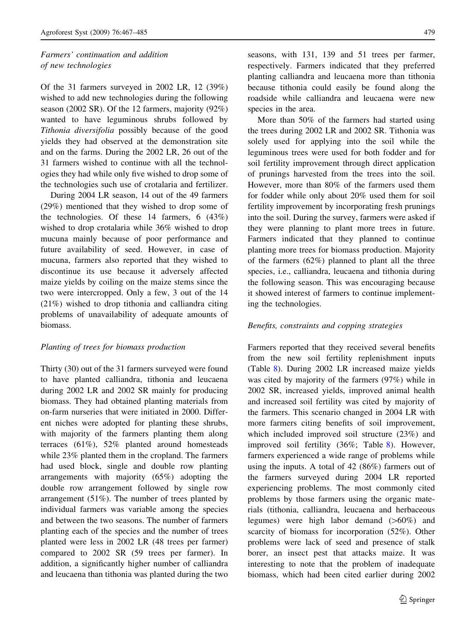# Farmers' continuation and addition of new technologies

Of the 31 farmers surveyed in 2002 LR, 12 (39%) wished to add new technologies during the following season (2002 SR). Of the 12 farmers, majority (92%) wanted to have leguminous shrubs followed by Tithonia diversifolia possibly because of the good yields they had observed at the demonstration site and on the farms. During the 2002 LR, 26 out of the 31 farmers wished to continue with all the technologies they had while only five wished to drop some of the technologies such use of crotalaria and fertilizer.

During 2004 LR season, 14 out of the 49 farmers (29%) mentioned that they wished to drop some of the technologies. Of these 14 farmers, 6 (43%) wished to drop crotalaria while 36% wished to drop mucuna mainly because of poor performance and future availability of seed. However, in case of mucuna, farmers also reported that they wished to discontinue its use because it adversely affected maize yields by coiling on the maize stems since the two were intercropped. Only a few, 3 out of the 14 (21%) wished to drop tithonia and calliandra citing problems of unavailability of adequate amounts of biomass.

# Planting of trees for biomass production

Thirty (30) out of the 31 farmers surveyed were found to have planted calliandra, tithonia and leucaena during 2002 LR and 2002 SR mainly for producing biomass. They had obtained planting materials from on-farm nurseries that were initiated in 2000. Different niches were adopted for planting these shrubs, with majority of the farmers planting them along terraces (61%), 52% planted around homesteads while 23% planted them in the cropland. The farmers had used block, single and double row planting arrangements with majority (65%) adopting the double row arrangement followed by single row arrangement (51%). The number of trees planted by individual farmers was variable among the species and between the two seasons. The number of farmers planting each of the species and the number of trees planted were less in 2002 LR (48 trees per farmer) compared to 2002 SR (59 trees per farmer). In addition, a significantly higher number of calliandra and leucaena than tithonia was planted during the two seasons, with 131, 139 and 51 trees per farmer, respectively. Farmers indicated that they preferred planting calliandra and leucaena more than tithonia because tithonia could easily be found along the roadside while calliandra and leucaena were new species in the area.

More than 50% of the farmers had started using the trees during 2002 LR and 2002 SR. Tithonia was solely used for applying into the soil while the leguminous trees were used for both fodder and for soil fertility improvement through direct application of prunings harvested from the trees into the soil. However, more than 80% of the farmers used them for fodder while only about 20% used them for soil fertility improvement by incorporating fresh prunings into the soil. During the survey, farmers were asked if they were planning to plant more trees in future. Farmers indicated that they planned to continue planting more trees for biomass production. Majority of the farmers (62%) planned to plant all the three species, i.e., calliandra, leucaena and tithonia during the following season. This was encouraging because it showed interest of farmers to continue implementing the technologies.

# Benefits, constraints and copping strategies

Farmers reported that they received several benefits from the new soil fertility replenishment inputs (Table [8](#page-13-0)). During 2002 LR increased maize yields was cited by majority of the farmers (97%) while in 2002 SR, increased yields, improved animal health and increased soil fertility was cited by majority of the farmers. This scenario changed in 2004 LR with more farmers citing benefits of soil improvement, which included improved soil structure (23%) and improved soil fertility (36%; Table [8](#page-13-0)). However, farmers experienced a wide range of problems while using the inputs. A total of 42 (86%) farmers out of the farmers surveyed during 2004 LR reported experiencing problems. The most commonly cited problems by those farmers using the organic materials (tithonia, calliandra, leucaena and herbaceous legumes) were high labor demand  $(>60\%)$  and scarcity of biomass for incorporation (52%). Other problems were lack of seed and presence of stalk borer, an insect pest that attacks maize. It was interesting to note that the problem of inadequate biomass, which had been cited earlier during 2002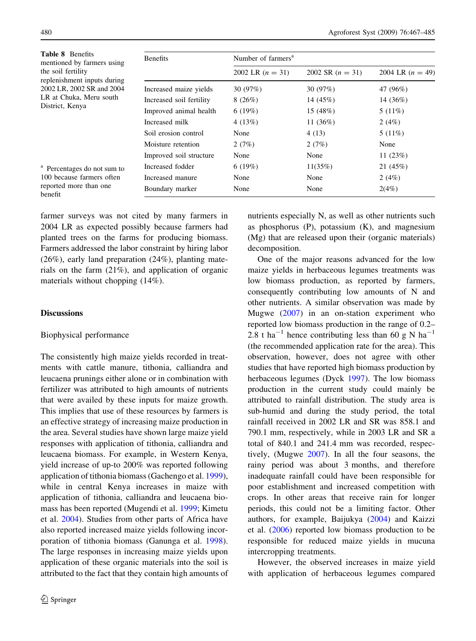<span id="page-13-0"></span>

| <b>Table 8</b> Benefits<br>mentioned by farmers using | <b>Benefits</b>          | Number of farmers <sup>a</sup> |                    |                    |  |
|-------------------------------------------------------|--------------------------|--------------------------------|--------------------|--------------------|--|
| the soil fertility<br>replenishment inputs during     |                          | 2002 LR $(n = 31)$             | 2002 SR $(n = 31)$ | 2004 LR $(n = 49)$ |  |
| 2002 LR, 2002 SR and 2004                             | Increased maize yields   | 30 $(97%)$                     | 30 $(97%)$         | 47 (96%)           |  |
| LR at Chuka, Meru south                               | Increased soil fertility | 8(26%)                         | 14 $(45%)$         | 14 (36%)           |  |
| District, Kenya                                       | Improved animal health   | 6(19%)                         | 15 $(48%)$         | $5(11\%)$          |  |
|                                                       | Increased milk           | 4(13%)                         | 11 $(36%)$         | 2(4%)              |  |
|                                                       | Soil erosion control     | None                           | 4(13)              | $5(11\%)$          |  |
|                                                       | Moisture retention       | 2(7%)                          | 2(7%)              | None               |  |
|                                                       | Improved soil structure  | None                           | None               | 11 $(23%)$         |  |
| <sup>a</sup> Percentages do not sum to                | Increased fodder         | 6(19%)                         | 11(35%)            | 21(45%)            |  |
| 100 because farmers often                             | Increased manure         | None                           | None               | 2(4%)              |  |
| reported more than one<br>benefit                     | Boundary marker          | None                           | None               | 2(4%)              |  |

farmer surveys was not cited by many farmers in 2004 LR as expected possibly because farmers had planted trees on the farms for producing biomass. Farmers addressed the labor constraint by hiring labor (26%), early land preparation (24%), planting materials on the farm (21%), and application of organic materials without chopping (14%).

# **Discussions**

# Biophysical performance

The consistently high maize yields recorded in treatments with cattle manure, tithonia, calliandra and leucaena prunings either alone or in combination with fertilizer was attributed to high amounts of nutrients that were availed by these inputs for maize growth. This implies that use of these resources by farmers is an effective strategy of increasing maize production in the area. Several studies have shown large maize yield responses with application of tithonia, calliandra and leucaena biomass. For example, in Western Kenya, yield increase of up-to 200% was reported following application of tithonia biomass (Gachengo et al. [1999](#page-17-0)), while in central Kenya increases in maize with application of tithonia, calliandra and leucaena biomass has been reported (Mugendi et al. [1999;](#page-17-0) Kimetu et al. [2004\)](#page-17-0). Studies from other parts of Africa have also reported increased maize yields following incorporation of tithonia biomass (Ganunga et al. [1998](#page-17-0)). The large responses in increasing maize yields upon application of these organic materials into the soil is attributed to the fact that they contain high amounts of nutrients especially N, as well as other nutrients such as phosphorus (P), potassium (K), and magnesium (Mg) that are released upon their (organic materials) decomposition.

One of the major reasons advanced for the low maize yields in herbaceous legumes treatments was low biomass production, as reported by farmers, consequently contributing low amounts of N and other nutrients. A similar observation was made by Mugwe [\(2007](#page-18-0)) in an on-station experiment who reported low biomass production in the range of 0.2– 2.8 t ha<sup>-1</sup> hence contributing less than 60 g N ha<sup>-1</sup> (the recommended application rate for the area). This observation, however, does not agree with other studies that have reported high biomass production by herbaceous legumes (Dyck [1997\)](#page-17-0). The low biomass production in the current study could mainly be attributed to rainfall distribution. The study area is sub-humid and during the study period, the total rainfall received in 2002 LR and SR was 858.1 and 790.1 mm, respectively, while in 2003 LR and SR a total of 840.1 and 241.4 mm was recorded, respectively, (Mugwe [2007](#page-18-0)). In all the four seasons, the rainy period was about 3 months, and therefore inadequate rainfall could have been responsible for poor establishment and increased competition with crops. In other areas that receive rain for longer periods, this could not be a limiting factor. Other authors, for example, Baijukya ([2004\)](#page-17-0) and Kaizzi et al. ([2006\)](#page-17-0) reported low biomass production to be responsible for reduced maize yields in mucuna intercropping treatments.

However, the observed increases in maize yield with application of herbaceous legumes compared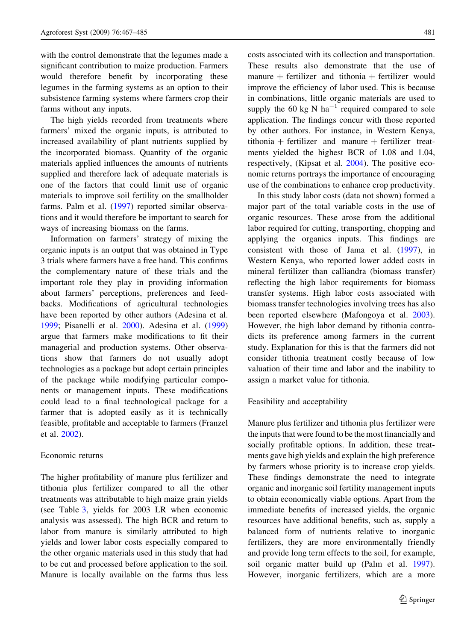with the control demonstrate that the legumes made a significant contribution to maize production. Farmers would therefore benefit by incorporating these legumes in the farming systems as an option to their subsistence farming systems where farmers crop their farms without any inputs.

The high yields recorded from treatments where farmers' mixed the organic inputs, is attributed to increased availability of plant nutrients supplied by the incorporated biomass. Quantity of the organic materials applied influences the amounts of nutrients supplied and therefore lack of adequate materials is one of the factors that could limit use of organic materials to improve soil fertility on the smallholder farms. Palm et al. [\(1997](#page-18-0)) reported similar observations and it would therefore be important to search for ways of increasing biomass on the farms.

Information on farmers' strategy of mixing the organic inputs is an output that was obtained in Type 3 trials where farmers have a free hand. This confirms the complementary nature of these trials and the important role they play in providing information about farmers' perceptions, preferences and feedbacks. Modifications of agricultural technologies have been reported by other authors (Adesina et al. [1999;](#page-17-0) Pisanelli et al. [2000](#page-18-0)). Adesina et al. ([1999\)](#page-17-0) argue that farmers make modifications to fit their managerial and production systems. Other observations show that farmers do not usually adopt technologies as a package but adopt certain principles of the package while modifying particular components or management inputs. These modifications could lead to a final technological package for a farmer that is adopted easily as it is technically feasible, profitable and acceptable to farmers (Franzel et al. [2002](#page-17-0)).

# Economic returns

The higher profitability of manure plus fertilizer and tithonia plus fertilizer compared to all the other treatments was attributable to high maize grain yields (see Table [3](#page-8-0), yields for 2003 LR when economic analysis was assessed). The high BCR and return to labor from manure is similarly attributed to high yields and lower labor costs especially compared to the other organic materials used in this study that had to be cut and processed before application to the soil. Manure is locally available on the farms thus less costs associated with its collection and transportation. These results also demonstrate that the use of manure  $+$  fertilizer and tithonia  $+$  fertilizer would improve the efficiency of labor used. This is because in combinations, little organic materials are used to supply the 60 kg N ha<sup>-1</sup> required compared to sole application. The findings concur with those reported by other authors. For instance, in Western Kenya,  $tithonia + fertilizer and manure + fertilizer treat$ ments yielded the highest BCR of 1.08 and 1.04, respectively, (Kipsat et al. [2004](#page-17-0)). The positive economic returns portrays the importance of encouraging use of the combinations to enhance crop productivity.

In this study labor costs (data not shown) formed a major part of the total variable costs in the use of organic resources. These arose from the additional labor required for cutting, transporting, chopping and applying the organics inputs. This findings are consistent with those of Jama et al. [\(1997\)](#page-17-0), in Western Kenya, who reported lower added costs in mineral fertilizer than calliandra (biomass transfer) reflecting the high labor requirements for biomass transfer systems. High labor costs associated with biomass transfer technologies involving trees has also been reported elsewhere (Mafongoya et al. [2003](#page-17-0)). However, the high labor demand by tithonia contradicts its preference among farmers in the current study. Explanation for this is that the farmers did not consider tithonia treatment costly because of low valuation of their time and labor and the inability to assign a market value for tithonia.

# Feasibility and acceptability

Manure plus fertilizer and tithonia plus fertilizer were the inputs that were found to be the most financially and socially profitable options. In addition, these treatments gave high yields and explain the high preference by farmers whose priority is to increase crop yields. These findings demonstrate the need to integrate organic and inorganic soil fertility management inputs to obtain economically viable options. Apart from the immediate benefits of increased yields, the organic resources have additional benefits, such as, supply a balanced form of nutrients relative to inorganic fertilizers, they are more environmentally friendly and provide long term effects to the soil, for example, soil organic matter build up (Palm et al. [1997](#page-18-0)). However, inorganic fertilizers, which are a more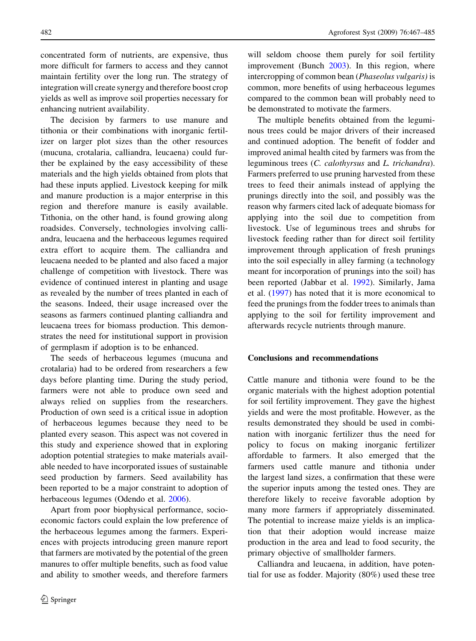concentrated form of nutrients, are expensive, thus more difficult for farmers to access and they cannot maintain fertility over the long run. The strategy of integration will create synergy and therefore boost crop yields as well as improve soil properties necessary for enhancing nutrient availability.

The decision by farmers to use manure and tithonia or their combinations with inorganic fertilizer on larger plot sizes than the other resources (mucuna, crotalaria, calliandra, leucaena) could further be explained by the easy accessibility of these materials and the high yields obtained from plots that had these inputs applied. Livestock keeping for milk and manure production is a major enterprise in this region and therefore manure is easily available. Tithonia, on the other hand, is found growing along roadsides. Conversely, technologies involving calliandra, leucaena and the herbaceous legumes required extra effort to acquire them. The calliandra and leucaena needed to be planted and also faced a major challenge of competition with livestock. There was evidence of continued interest in planting and usage as revealed by the number of trees planted in each of the seasons. Indeed, their usage increased over the seasons as farmers continued planting calliandra and leucaena trees for biomass production. This demonstrates the need for institutional support in provision of germplasm if adoption is to be enhanced.

The seeds of herbaceous legumes (mucuna and crotalaria) had to be ordered from researchers a few days before planting time. During the study period, farmers were not able to produce own seed and always relied on supplies from the researchers. Production of own seed is a critical issue in adoption of herbaceous legumes because they need to be planted every season. This aspect was not covered in this study and experience showed that in exploring adoption potential strategies to make materials available needed to have incorporated issues of sustainable seed production by farmers. Seed availability has been reported to be a major constraint to adoption of herbaceous legumes (Odendo et al. [2006\)](#page-18-0).

Apart from poor biophysical performance, socioeconomic factors could explain the low preference of the herbaceous legumes among the farmers. Experiences with projects introducing green manure report that farmers are motivated by the potential of the green manures to offer multiple benefits, such as food value and ability to smother weeds, and therefore farmers will seldom choose them purely for soil fertility improvement (Bunch [2003](#page-17-0)). In this region, where intercropping of common bean (Phaseolus vulgaris) is common, more benefits of using herbaceous legumes compared to the common bean will probably need to be demonstrated to motivate the farmers.

The multiple benefits obtained from the leguminous trees could be major drivers of their increased and continued adoption. The benefit of fodder and improved animal health cited by farmers was from the leguminous trees (C. calothyrsus and L. trichandra). Farmers preferred to use pruning harvested from these trees to feed their animals instead of applying the prunings directly into the soil, and possibly was the reason why farmers cited lack of adequate biomass for applying into the soil due to competition from livestock. Use of leguminous trees and shrubs for livestock feeding rather than for direct soil fertility improvement through application of fresh prunings into the soil especially in alley farming (a technology meant for incorporation of prunings into the soil) has been reported (Jabbar et al. [1992](#page-17-0)). Similarly, Jama et al. [\(1997](#page-17-0)) has noted that it is more economical to feed the prunings from the fodder trees to animals than applying to the soil for fertility improvement and afterwards recycle nutrients through manure.

# Conclusions and recommendations

Cattle manure and tithonia were found to be the organic materials with the highest adoption potential for soil fertility improvement. They gave the highest yields and were the most profitable. However, as the results demonstrated they should be used in combination with inorganic fertilizer thus the need for policy to focus on making inorganic fertilizer affordable to farmers. It also emerged that the farmers used cattle manure and tithonia under the largest land sizes, a confirmation that these were the superior inputs among the tested ones. They are therefore likely to receive favorable adoption by many more farmers if appropriately disseminated. The potential to increase maize yields is an implication that their adoption would increase maize production in the area and lead to food security, the primary objective of smallholder farmers.

Calliandra and leucaena, in addition, have potential for use as fodder. Majority (80%) used these tree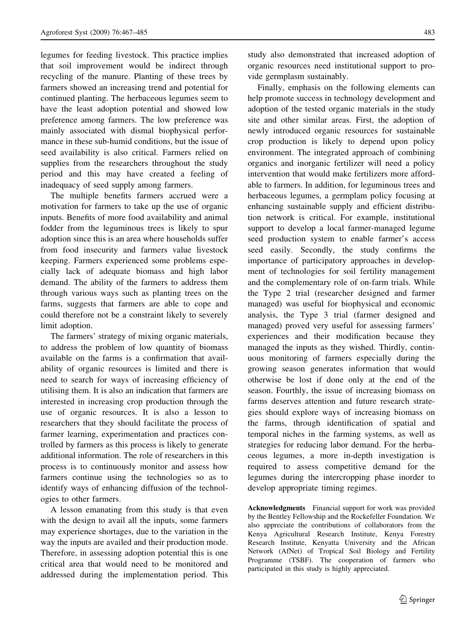legumes for feeding livestock. This practice implies that soil improvement would be indirect through recycling of the manure. Planting of these trees by farmers showed an increasing trend and potential for continued planting. The herbaceous legumes seem to have the least adoption potential and showed low preference among farmers. The low preference was mainly associated with dismal biophysical performance in these sub-humid conditions, but the issue of seed availability is also critical. Farmers relied on supplies from the researchers throughout the study period and this may have created a feeling of inadequacy of seed supply among farmers.

The multiple benefits farmers accrued were a motivation for farmers to take up the use of organic inputs. Benefits of more food availability and animal fodder from the leguminous trees is likely to spur adoption since this is an area where households suffer from food insecurity and farmers value livestock keeping. Farmers experienced some problems especially lack of adequate biomass and high labor demand. The ability of the farmers to address them through various ways such as planting trees on the farms, suggests that farmers are able to cope and could therefore not be a constraint likely to severely limit adoption.

The farmers' strategy of mixing organic materials, to address the problem of low quantity of biomass available on the farms is a confirmation that availability of organic resources is limited and there is need to search for ways of increasing efficiency of utilising them. It is also an indication that farmers are interested in increasing crop production through the use of organic resources. It is also a lesson to researchers that they should facilitate the process of farmer learning, experimentation and practices controlled by farmers as this process is likely to generate additional information. The role of researchers in this process is to continuously monitor and assess how farmers continue using the technologies so as to identify ways of enhancing diffusion of the technologies to other farmers.

A lesson emanating from this study is that even with the design to avail all the inputs, some farmers may experience shortages, due to the variation in the way the inputs are availed and their production mode. Therefore, in assessing adoption potential this is one critical area that would need to be monitored and addressed during the implementation period. This study also demonstrated that increased adoption of organic resources need institutional support to provide germplasm sustainably.

Finally, emphasis on the following elements can help promote success in technology development and adoption of the tested organic materials in the study site and other similar areas. First, the adoption of newly introduced organic resources for sustainable crop production is likely to depend upon policy environment. The integrated approach of combining organics and inorganic fertilizer will need a policy intervention that would make fertilizers more affordable to farmers. In addition, for leguminous trees and herbaceous legumes, a germplam policy focusing at enhancing sustainable supply and efficient distribution network is critical. For example, institutional support to develop a local farmer-managed legume seed production system to enable farmer's access seed easily. Secondly, the study confirms the importance of participatory approaches in development of technologies for soil fertility management and the complementary role of on-farm trials. While the Type 2 trial (researcher designed and farmer managed) was useful for biophysical and economic analysis, the Type 3 trial (farmer designed and managed) proved very useful for assessing farmers' experiences and their modification because they managed the inputs as they wished. Thirdly, continuous monitoring of farmers especially during the growing season generates information that would otherwise be lost if done only at the end of the season. Fourthly, the issue of increasing biomass on farms deserves attention and future research strategies should explore ways of increasing biomass on the farms, through identification of spatial and temporal niches in the farming systems, as well as strategies for reducing labor demand. For the herbaceous legumes, a more in-depth investigation is required to assess competitive demand for the legumes during the intercropping phase inorder to develop appropriate timing regimes.

Acknowledgments Financial support for work was provided by the Bentley Fellowship and the Rockefeller Foundation. We also appreciate the contributions of collaborators from the Kenya Agricultural Research Institute, Kenya Forestry Research Institute, Kenyatta University and the African Network (AfNet) of Tropical Soil Biology and Fertility Programme (TSBF). The cooperation of farmers who participated in this study is highly appreciated.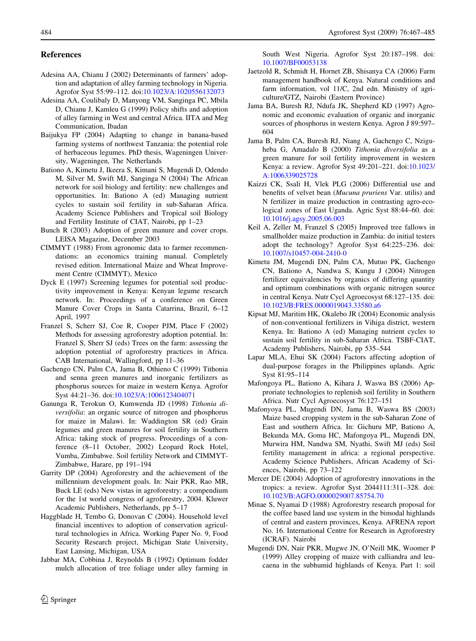### <span id="page-17-0"></span>References

- Adesina AA, Chianu J (2002) Determinants of farmers' adoption and adaptation of alley farming technology in Nigeria. Agrofor Syst 55:99–112. doi:[10.1023/A:1020556132073](http://dx.doi.org/10.1023/A:1020556132073)
- Adesina AA, Coulibaly D, Manyong VM, Sanginga PC, Mbila D, Chianu J, Kamleu G (1999) Policy shifts and adoption of alley farming in West and central Africa. IITA and Meg Communication, Ibadan
- Baijukya FP (2004) Adapting to change in banana-based farming systems of northwest Tanzania: the potential role of herbaceous legumes. PhD thesis, Wageningen University, Wageningen, The Netherlands
- Bationo A, Kimetu J, Ikeera S, Kimani S, Mugendi D, Odendo M, Silver M, Swift MJ, Sanginga N (2004) The African network for soil biology and fertility: new challenges and opportunities. In: Bationo A (ed) Managing nutrient cycles to sustain soil fertility in sub-Saharan Africa. Academy Science Publishers and Tropical soil Biology and Fertility Institute of CIAT, Nairobi, pp 1–23
- Bunch R (2003) Adoption of green manure and cover crops. LEISA Magazine, December 2003
- CIMMYT (1988) From agronomic data to farmer recommendations: an economics training manual. Completely revised edition. International Maize and Wheat Improvement Centre (CIMMYT), Mexico
- Dyck E (1997) Screening legumes for potential soil productivity improvement in Kenya: Kenyan legume research network. In: Proceedings of a conference on Green Manure Cover Crops in Santa Catarrina, Brazil, 6–12 April, 1997
- Franzel S, Scherr SJ, Coe R, Cooper PJM, Place F (2002) Methods for assessing agroforestry adoption potential. In: Franzel S, Sherr SJ (eds) Trees on the farm: assessing the adoption potential of agroforestry practices in Africa. CAB International, Wallingford, pp 11–36
- Gachengo CN, Palm CA, Jama B, Othieno C (1999) Tithonia and senna green manures and inorganic fertilizers as phosphorus sources for maize in western Kenya. Agrofor Syst 44:21–36. doi[:10.1023/A:1006123404071](http://dx.doi.org/10.1023/A:1006123404071)
- Ganunga R, Terokun O, Kumwenda JD (1998) Tithonia diversifolia: an organic source of nitrogen and phosphorus for maize in Malawi. In: Waddington SR (ed) Grain legumes and green manures for soil fertility in Southern Africa: taking stock of progress. Proceedings of a conference (8–11 October, 2002) Leopard Rock Hotel, Vumba, Zimbabwe. Soil fertility Network and CIMMYT-Zimbabwe, Harare, pp 191–194
- Garrity DP (2004) Agroforestry and the achievement of the millennium development goals. In: Nair PKR, Rao MR, Buck LE (eds) New vistas in agroforestry: a compendium for the 1st world congress of agroforestry, 2004. Kluwer Academic Publishers, Netherlands, pp 5–17
- Haggblade H, Tembo G, Donovan C (2004). Household level financial incentives to adoption of conservation agricultural technologies in Africa. Working Paper No. 9, Food Security Research project, Michigan State University, East Lansing, Michigan, USA
- Jabbar MA, Cobbina J, Reynolds B (1992) Optimum fodder mulch allocation of tree foliage under alley farming in

South West Nigeria. Agrofor Syst 20:187–198. doi: [10.1007/BF00053138](http://dx.doi.org/10.1007/BF00053138)

- Jaetzold R, Schmidt H, Hornet ZB, Shisanya CA (2006) Farm management handbook of Kenya. Natural conditions and farm information, vol 11/C, 2nd edn. Ministry of agriculture/GTZ, Nairobi (Eastern Province)
- Jama BA, Buresh RJ, Ndufa JK, Shepherd KD (1997) Agronomic and economic evaluation of organic and inorganic sources of phosphorus in western Kenya. Agron J 89:597– 604
- Jama B, Palm CA, Buresh RJ, Niang A, Gachengo C, Nziguheba G, Amadalo B (2000) Tithonia diversifolia as a green manure for soil fertility improvement in western Kenya: a review. Agrofor Syst 49:201–221. doi[:10.1023/](http://dx.doi.org/10.1023/A:1006339025728) [A:1006339025728](http://dx.doi.org/10.1023/A:1006339025728)
- Kaizzi CK, Ssali H, Vlek PLG (2006) Differential use and benefits of velvet bean (Mucuna pruriens Var. utilis) and N fertilizer in maize production in contrasting agro-ecological zones of East Uganda. Agric Syst 88:44–60. doi: [10.1016/j.agsy.2005.06.003](http://dx.doi.org/10.1016/j.agsy.2005.06.003)
- Keil A, Zeller M, Franzel S (2005) Improved tree fallows in smallholder maize production in Zambia: do initial testers adopt the technology? Agrofor Syst 64:225–236. doi: [10.1007/s10457-004-2410-0](http://dx.doi.org/10.1007/s10457-004-2410-0)
- Kimetu JM, Mugendi DN, Palm CA, Mutuo PK, Gachengo CN, Bationo A, Nandwa S, Kungu J (2004) Nitrogen fertilizer equivalencies by organics of differing quantity and optimum combinations with organic nitrogen source in central Kenya. Nutr Cycl Agroecosyst 68:127–135. doi: [10.1023/B:FRES.0000019043.33580.a6](http://dx.doi.org/10.1023/B:FRES.0000019043.33580.a6)
- Kipsat MJ, Maritim HK, Okalebo JR (2004) Economic analysis of non-conventional fertilizers in Vihiga district, western Kenya. In: Bationo A (ed) Managing nutrient cycles to sustain soil fertility in sub-Saharan Africa. TSBF-CIAT, Academy Publishers, Nairobi, pp 535–544
- Lapar MLA, Ehui SK (2004) Factors affecting adoption of dual-purpose forages in the Philippines uplands. Agric Syst 81:95–114
- Mafongoya PL, Bationo A, Kihara J, Waswa BS (2006) Approriate technologies to replenish soil fertility in Southern Africa. Nutr Cycl Agroecosyst 76:127–151
- Mafonyoya PL, Mugendi DN, Jama B, Waswa BS (2003) Maize based cropping system in the sub-Saharan Zone of East and southern Africa. In: Gichuru MP, Bationo A, Bekunda MA, Goma HC, Mafongoya PL, Mugendi DN, Murwira HM, Nandwa SM, Nyathi, Swift MJ (eds) Soil fertility management in africa: a regional perspective. Academy Science Publishers, African Academy of Sciences, Nairobi, pp 73–122
- Mercer DE (2004) Adoption of agroforestry innovations in the tropics: a review. Agrofor Syst 2044111:311–328. doi: [10.1023/B:AGFO.0000029007.85754.70](http://dx.doi.org/10.1023/B:AGFO.0000029007.85754.70)
- Minae S, Nyamai D (1988) Agroforestry research proposal for the coffee based land use system in the bimodal highlands of central and eastern provinces, Kenya. AFRENA report No. 16. International Centre for Research in Agroforestry (ICRAF). Nairobi
- Mugendi DN, Nair PKR, Mugwe JN, O'Neill MK, Woomer P (1999) Alley cropping of maize with calliandra and leucaena in the subhumid highlands of Kenya. Part 1: soil